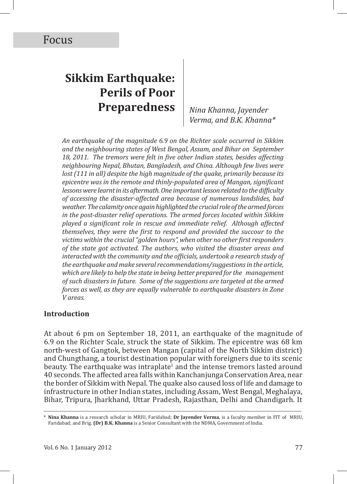# **Sikkim Earthquake: Perils of Poor Preparedness**

*Nina Khanna, Jayender Verma, and B.K. Khanna\**

*An earthquake of the magnitude 6.9 on the Richter scale occurred in Sikkim and the neighbouring states of West Bengal, Assam, and Bihar on September*  18, 2011. The tremors were felt in five other Indian states, besides affecting *neighbouring Nepal, Bhutan, Bangladesh, and China. Although few lives were lost (111 in all) despite the high magnitude of the quake, primarily because its epicentre was in the remote and thinly-populated area of Mangan, significant lessons were learnt in its aftermath. One important lesson related to the difficulty of accessing the disaster-affected area because of numerous landslides, bad weather. The calamity once again highlighted the crucial role of the armed forces in the post-disaster relief operations. The armed forces located within Sikkim played a significant role in rescue and immediate relief. Although affected themselves, they were the first to respond and provided the succour to the victims within the crucial "golden hours", when other no other first responders of the state got activated. The authors, who visited the disaster areas and interacted with the community and the officials, undertook a research study of the earthquake and make several recommendations/suggestions in the article, which are likely to help the state in being better prepared for the management of such disasters in future. Some of the suggestions are targeted at the armed forces as well, as they are equally vulnerable to earthquake disasters in Zone V areas.*

## **Introduction**

At about 6 pm on September 18, 2011, an earthquake of the magnitude of 6.9 on the Richter Scale, struck the state of Sikkim. The epicentre was 68 km north-west of Gangtok, between Mangan (capital of the North Sikkim district) and Chungthang, a tourist destination popular with foreigners due to its scenic beauty. The earthquake was intraplate<sup>1</sup> and the intense tremors lasted around 40 seconds. The affected area falls within Kanchanjunga Conservation Area, near the border of Sikkim with Nepal. The quake also caused loss of life and damage to infrastructure in other Indian states, including Assam, West Bengal, Meghalaya, Bihar, Tripura, Jharkhand, Uttar Pradesh, Rajasthan, Delhi and Chandigarh. It

<sup>\*</sup> **Nina Khanna** is a research scholar in MRIU, Faridabad; **Dr Jayender Verma**, is a faculty member in FIT of MRIU, Faridabad; and Brig. **(Dr) B.K. Khanna** is a Senior Consultant with the NDMA, Government of India.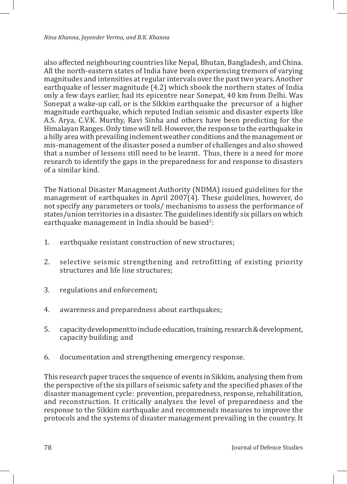also affected neighbouring countries like Nepal, Bhutan, Bangladesh, and China. All the north-eastern states of India have been experiencing tremors of varying magnitudes and intensities at regular intervals over the past two years. Another earthquake of lesser magnitude (4.2) which shook the northern states of India only a few days earlier, had its epicentre near Sonepat, 40 km from Delhi. Was Sonepat a wake-up call, or is the Sikkim earthquake the precursor of a higher magnitude earthquake, which reputed Indian seismic and disaster experts like A.S. Arya, C.V.K. Murthy, Ravi Sinha and others have been predicting for the Himalayan Ranges. Only time will tell. However, the response to the earthquake in a hilly area with prevailing inclement weather conditions and the management or mis-management of the disaster posed a number of challenges and also showed that a number of lessons still need to be learnt. Thus, there is a need for more research to identify the gaps in the preparedness for and response to disasters of a similar kind.

The National Disaster Managment Authority (NDMA) issued guidelines for the management of earthquakes in April 2007(4). These guidelines, however, do not specify any parameters or tools/ mechanisms to assess the performance of states/union territories in a disaster. The guidelines identify six pillars on which earthquake management in India should be based $^2$ :

- 1. earthquake resistant construction of new structures;
- 2. selective seismic strengthening and retrofitting of existing priority structures and life line structures;
- 3. regulations and enforcement;
- 4. awareness and preparedness about earthquakes;
- 5. capacity development to include education, training, research & development, capacity building; and
- 6. documentation and strengthening emergency response.

This research paper traces the sequence of events in Sikkim, analysing them from the perspective of the six pillars of seismic safety and the specified phases of the disaster management cycle: prevention, preparedness, response, rehabilitation, and reconstruction. It critically analyses the level of preparedness and the response to the Sikkim earthquake and recommends measures to improve the protocols and the systems of disaster management prevailing in the country. It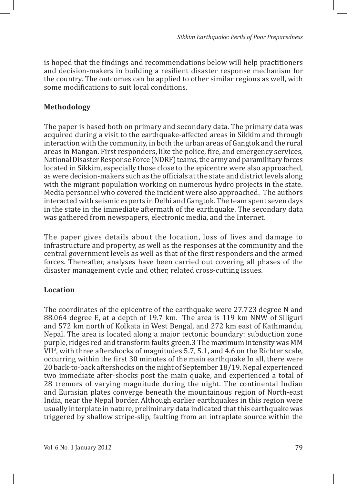is hoped that the findings and recommendations below will help practitioners and decision-makers in building a resilient disaster response mechanism for the country. The outcomes can be applied to other similar regions as well, with some modifications to suit local conditions.

#### **Methodology**

The paper is based both on primary and secondary data. The primary data was acquired during a visit to the earthquake-affected areas in Sikkim and through interaction with the community, in both the urban areas of Gangtok and the rural areas in Mangan. First responders, like the police, fire, and emergency services, National Disaster Response Force (NDRF) teams, the army and paramilitary forces located in Sikkim, especially those close to the epicentre were also approached, as were decision-makers such as the officials at the state and district levels along with the migrant population working on numerous hydro projects in the state. Media personnel who covered the incident were also approached. The authors interacted with seismic experts in Delhi and Gangtok. The team spent seven days in the state in the immediate aftermath of the earthquake. The secondary data was gathered from newspapers, electronic media, and the Internet.

The paper gives details about the location, loss of lives and damage to infrastructure and property, as well as the responses at the community and the central government levels as well as that of the first responders and the armed forces. Thereafter, analyses have been carried out covering all phases of the disaster management cycle and other, related cross-cutting issues.

#### **Location**

The coordinates of the epicentre of the earthquake were 27.723 degree N and 88.064 degree E, at a depth of 19.7 km. The area is 119 km NNW of Siliguri and 572 km north of Kolkata in West Bengal, and 272 km east of Kathmandu, Nepal. The area is located along a major tectonic boundary: subduction zone purple, ridges red and transform faults green.3 The maximum intensity was MM VII<sup>3</sup> , with three aftershocks of magnitudes 5.7, 5.1, and 4.6 on the Richter scale, occurring within the first 30 minutes of the main earthquake In all, there were 20 back-to-back aftershocks on the night of September 18/19. Nepal experienced two immediate after-shocks post the main quake, and experienced a total of 28 tremors of varying magnitude during the night. The continental Indian and Eurasian plates converge beneath the mountainous region of North-east India, near the Nepal border. Although earlier earthquakes in this region were usually interplate in nature, preliminary data indicated that this earthquake was triggered by shallow stripe-slip, faulting from an intraplate source within the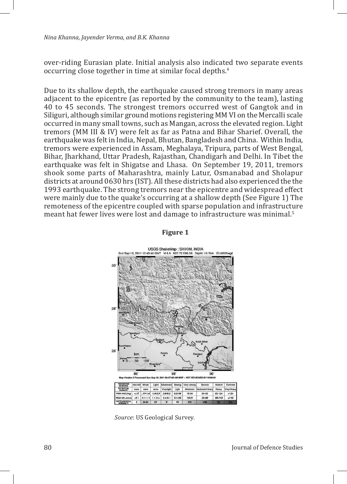*Nina Khanna, Jayender Verma, and B.K. Khanna*

over-riding Eurasian plate. Initial analysis also indicated two separate events occurring close together in time at similar focal depths.<sup>4</sup>

Due to its shallow depth, the earthquake caused strong tremors in many areas adjacent to the epicentre (as reported by the community to the team), lasting 40 to 45 seconds. The strongest tremors occurred west of Gangtok and in Siliguri, although similar ground motions registering MM VI on the Mercalli scale occurred in many small towns, such as Mangan, across the elevated region. Light tremors (MM III & IV) were felt as far as Patna and Bihar Sharief. Overall, the earthquake was felt in India, Nepal, Bhutan, Bangladesh and China. Within India, tremors were experienced in Assam, Meghalaya, Tripura, parts of West Bengal, Bihar, Jharkhand, Uttar Pradesh, Rajasthan, Chandigarh and Delhi. In Tibet the earthquake was felt in Shigatse and Lhasa. On September 19, 2011, tremors shook some parts of Maharashtra, mainly Latur, Osmanabad and Sholapur districts at around 0630 hrs (IST). All these districts had also experienced the the 1993 earthquake. The strong tremors near the epicentre and widespread effect were mainly due to the quake's occurring at a shallow depth (See Figure 1) The remoteness of the epicentre coupled with sparse population and infrastructure meant hat fewer lives were lost and damage to infrastructure was minimal.<sup>5</sup>

#### **Figure 1**



*Source*: US Geological Survey.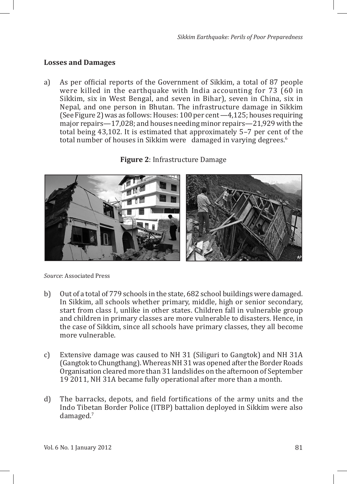#### **Losses and Damages**

a) As per official reports of the Government of Sikkim, a total of 87 people were killed in the earthquake with India accounting for 73 (60 in Sikkim, six in West Bengal, and seven in Bihar), seven in China, six in Nepal, and one person in Bhutan. The infrastructure damage in Sikkim (See Figure 2) was as follows: Houses: 100 per cent —4,125; houses requiring major repairs—17,028; and houses needing minor repairs—21,929 with the total being 43,102. It is estimated that approximately 5–7 per cent of the total number of houses in Sikkim were damaged in varying degrees.<sup>6</sup>



**Figure 2**: Infrastructure Damage

*Source*: Associated Press

- b) Out of a total of 779 schools in the state, 682 school buildings were damaged. In Sikkim, all schools whether primary, middle, high or senior secondary, start from class I, unlike in other states. Children fall in vulnerable group and children in primary classes are more vulnerable to disasters. Hence, in the case of Sikkim, since all schools have primary classes, they all become more vulnerable.
- c) Extensive damage was caused to NH 31 (Siliguri to Gangtok) and NH 31A (Gangtok to Chungthang). Whereas NH 31 was opened after the Border Roads Organisation cleared more than 31 landslides on the afternoon of September 19 2011, NH 31A became fully operational after more than a month.
- d) The barracks, depots, and field fortifications of the army units and the Indo Tibetan Border Police (ITBP) battalion deployed in Sikkim were also damaged.<sup>7</sup>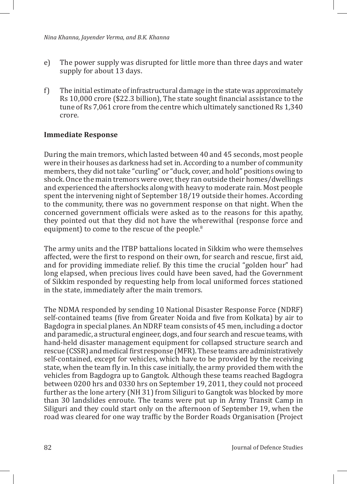- e) The power supply was disrupted for little more than three days and water supply for about 13 days.
- f) The initial estimate of infrastructural damage in the state was approximately Rs 10,000 crore (\$22.3 billion), The state sought financial assistance to the tune of Rs 7,061 crore from the centre which ultimately sanctioned Rs 1,340 crore.

#### **Immediate Response**

During the main tremors, which lasted between 40 and 45 seconds, most people were in their houses as darkness had set in. According to a number of community members, they did not take "curling" or "duck, cover, and hold" positions owing to shock. Once the main tremors were over, they ran outside their homes/dwellings and experienced the aftershocks along with heavy to moderate rain. Most people spent the intervening night of September 18/19 outside their homes. According to the community, there was no government response on that night. When the concerned government officials were asked as to the reasons for this apathy, they pointed out that they did not have the wherewithal (response force and equipment) to come to the rescue of the people.<sup>8</sup>

The army units and the ITBP battalions located in Sikkim who were themselves affected, were the first to respond on their own, for search and rescue, first aid, and for providing immediate relief. By this time the crucial "golden hour" had long elapsed, when precious lives could have been saved, had the Government of Sikkim responded by requesting help from local uniformed forces stationed in the state, immediately after the main tremors.

The NDMA responded by sending 10 National Disaster Response Force (NDRF) self-contained teams (five from Greater Noida and five from Kolkata) by air to Bagdogra in special planes. An NDRF team consists of 45 men, including a doctor and paramedic, a structural engineer, dogs, and four search and rescue teams, with hand-held disaster management equipment for collapsed structure search and rescue (CSSR) and medical first response (MFR). These teams are administratively self-contained, except for vehicles, which have to be provided by the receiving state, when the team fly in. In this case initially, the army provided them with the vehicles from Bagdogra up to Gangtok. Although these teams reached Bagdogra between 0200 hrs and 0330 hrs on September 19, 2011, they could not proceed further as the lone artery (NH 31) from Siliguri to Gangtok was blocked by more than 30 landslides enroute. The teams were put up in Army Transit Camp in Siliguri and they could start only on the afternoon of September 19, when the road was cleared for one way traffic by the Border Roads Organisation (Project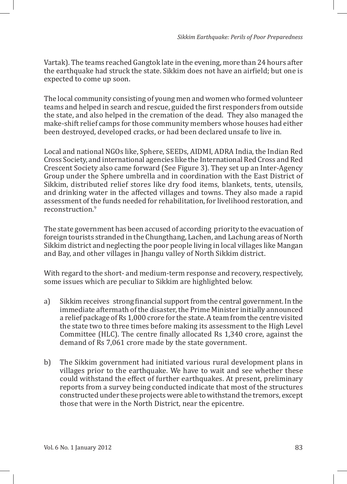Vartak). The teams reached Gangtok late in the evening, more than 24 hours after the earthquake had struck the state. Sikkim does not have an airfield; but one is expected to come up soon.

The local community consisting of young men and women who formed volunteer teams and helped in search and rescue, guided the first responders from outside the state, and also helped in the cremation of the dead. They also managed the make-shift relief camps for those community members whose houses had either been destroyed, developed cracks, or had been declared unsafe to live in.

Local and national NGOs like, Sphere, SEEDs, AIDMI, ADRA India, the Indian Red Cross Society, and international agencies like the International Red Cross and Red Crescent Society also came forward (See Figure 3). They set up an Inter-Agency Group under the Sphere umbrella and in coordination with the East District of Sikkim, distributed relief stores like dry food items, blankets, tents, utensils, and drinking water in the affected villages and towns. They also made a rapid assessment of the funds needed for rehabilitation, for livelihood restoration, and reconstruction.<sup>9</sup>

The state government has been accused of according priority to the evacuation of foreign tourists stranded in the Chungthang, Lachen, and Lachung areas of North Sikkim district and neglecting the poor people living in local villages like Mangan and Bay, and other villages in Jhangu valley of North Sikkim district.

With regard to the short- and medium-term response and recovery, respectively, some issues which are peculiar to Sikkim are highlighted below.

- a) Sikkim receives strong financial support from the central government. In the immediate aftermath of the disaster, the Prime Minister initially announced a relief package of Rs 1,000 crore for the state. A team from the centre visited the state two to three times before making its assessment to the High Level Committee (HLC). The centre finally allocated Rs 1,340 crore, against the demand of Rs 7,061 crore made by the state government.
- b) The Sikkim government had initiated various rural development plans in villages prior to the earthquake. We have to wait and see whether these could withstand the effect of further earthquakes. At present, preliminary reports from a survey being conducted indicate that most of the structures constructed under these projects were able to withstand the tremors, except those that were in the North District, near the epicentre.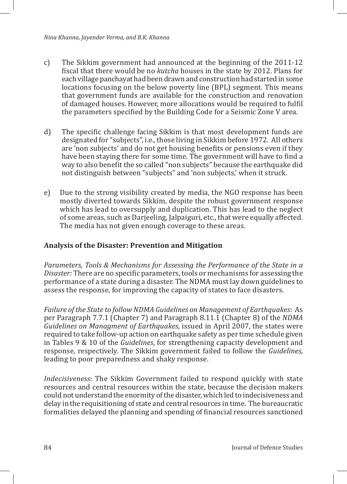- c) The Sikkim government had announced at the beginning of the 2011-12 fiscal that there would be no *kutcha* houses in the state by 2012. Plans for each village panchayat had been drawn and construction had started in some locations focusing on the below poverty line (BPL) segment. This means that government funds are available for the construction and renovation of damaged houses. However, more allocations would be required to fulfil the parameters specified by the Building Code for a Seismic Zone V area.
- d) The specific challenge facing Sikkim is that most development funds are designated for "subjects", i.e., those living in Sikkim before 1972. All others are 'non subjects' and do not get housing benefits or pensions even if they have been staying there for some time. The government will have to find a way to also benefit the so called "non subjects" because the earthquake did not distinguish between "subjects" and 'non subjects,' when it struck.
- e) Due to the strong visibility created by media, the NGO response has been mostly diverted towards Sikkim, despite the robust government response which has lead to oversupply and duplication. This has lead to the neglect of some areas, such as Darjeeling, Jalpaiguri, etc., that were equally affected. The media has not given enough coverage to these areas.

#### **Analysis of the Disaster: Prevention and Mitigation**

*Parameters, Tools & Mechanisms for Assessing the Performance of the State in a Disaster:* There are no specific parameters, tools or mechanisms for assessing the performance of a state during a disaster. The NDMA must lay down guidelines to assess the response, for improving the capacity of states to face disasters.

*Failure of the State to follow NDMA Guidelines on Management of Earthquakes*: As per Paragraph 7.7.1 (Chapter 7) and Paragraph 8.11.1 (Chapter 8) of the *NDMA Guidelines on Managment of Earthquakes*, issued in April 2007, the states were required to take follow-up action on earthquake safety as per time schedule given in Tables 9 & 10 of the *Guidelines*, for strengthening capacity development and response, respectively. The Sikkim government failed to follow the *Guidelines,*  leading to poor preparedness and shaky response.

*Indecisiveness*: The Sikkim Government failed to respond quickly with state resources and central resources within the state, because the decision makers could not understand the enormity of the disaster, which led to indecisiveness and delay in the requisitioning of state and central resources in time. The bureaucratic formalities delayed the planning and spending of financial resources sanctioned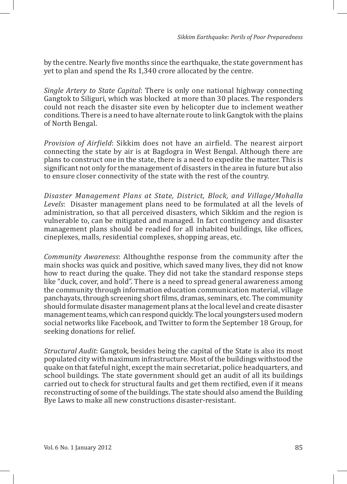by the centre. Nearly five months since the earthquake, the state government has yet to plan and spend the Rs 1,340 crore allocated by the centre.

*Single Artery to State Capital*: There is only one national highway connecting Gangtok to Siliguri, which was blocked at more than 30 places. The responders could not reach the disaster site even by helicopter due to inclement weather conditions. There is a need to have alternate route to link Gangtok with the plains of North Bengal.

*Provision of Airfield*: Sikkim does not have an airfield. The nearest airport connecting the state by air is at Bagdogra in West Bengal. Although there are plans to construct one in the state, there is a need to expedite the matter. This is significant not only for the management of disasters in the area in future but also to ensure closer connectivity of the state with the rest of the country.

*Disaster Management Plans at State, District, Block, and Village/Mohalla Levels*: Disaster management plans need to be formulated at all the levels of administration, so that all perceived disasters, which Sikkim and the region is vulnerable to, can be mitigated and managed. In fact contingency and disaster management plans should be readied for all inhabited buildings, like offices, cineplexes, malls, residential complexes, shopping areas, etc.

*Community Awareness*: Althoughthe response from the community after the main shocks was quick and positive, which saved many lives, they did not know how to react during the quake. They did not take the standard response steps like "duck, cover, and hold". There is a need to spread general awareness among the community through information education communication material, village panchayats, through screening short films, dramas, seminars, etc. The community should formulate disaster management plans at the local level and create disaster management teams, which can respond quickly. The local youngsters used modern social networks like Facebook, and Twitter to form the September 18 Group, for seeking donations for relief.

*Structural Audit*: Gangtok, besides being the capital of the State is also its most populated city with maximum infrastructure. Most of the buildings withstood the quake on that fateful night, except the main secretariat, police headquarters, and school buildings. The state government should get an audit of all its buildings carried out to check for structural faults and get them rectified, even if it means reconstructing of some of the buildings. The state should also amend the Building Bye Laws to make all new constructions disaster-resistant.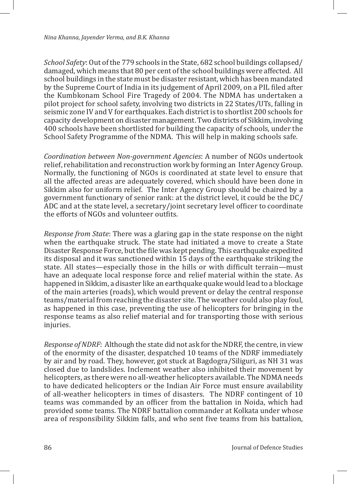*School Safety*: Out of the 779 schools in the State, 682 school buildings collapsed/ damaged, which means that 80 per cent of the school buildings were affected. All school buildings in the state must be disaster resistant, which has been mandated by the Supreme Court of India in its judgement of April 2009, on a PIL filed after the Kumbkonam School Fire Tragedy of 2004. The NDMA has undertaken a pilot project for school safety, involving two districts in 22 States/UTs, falling in seismic zone IV and V for earthquakes. Each district is to shortlist 200 schools for capacity development on disaster management. Two districts of Sikkim, involving 400 schools have been shortlisted for building the capacity of schools, under the School Safety Programme of the NDMA. This will help in making schools safe.

*Coordination between Non-government Agencies*: A number of NGOs undertook relief, rehabilitation and reconstruction work by forming an Inter Agency Group. Normally, the functioning of NGOs is coordinated at state level to ensure that all the affected areas are adequately covered, which should have been done in Sikkim also for uniform relief. The Inter Agency Group should be chaired by a government functionary of senior rank: at the district level, it could be the DC/ ADC and at the state level, a secretary/joint secretary level officer to coordinate the efforts of NGOs and volunteer outfits.

*Response from State*: There was a glaring gap in the state response on the night when the earthquake struck. The state had initiated a move to create a State Disaster Response Force, but the file was kept pending. This earthquake expedited its disposal and it was sanctioned within 15 days of the earthquake striking the state. All states—especially those in the hills or with difficult terrain—must have an adequate local response force and relief material within the state. As happened in Sikkim, a disaster like an earthquake quake would lead to a blockage of the main arteries (roads), which would prevent or delay the central response teams/material from reaching the disaster site. The weather could also play foul, as happened in this case, preventing the use of helicopters for bringing in the response teams as also relief material and for transporting those with serious injuries.

*Response of NDRF*: Although the state did not ask for the NDRF, the centre, in view of the enormity of the disaster, despatched 10 teams of the NDRF immediately by air and by road. They, however, got stuck at Bagdogra/Siliguri, as NH 31 was closed due to landslides. Inclement weather also inhibited their movement by helicopters, as there were no all-weather helicopters available. The NDMA needs to have dedicated helicopters or the Indian Air Force must ensure availability of all-weather helicopters in times of disasters. The NDRF contingent of 10 teams was commanded by an officer from the battalion in Noida, which had provided some teams. The NDRF battalion commander at Kolkata under whose area of responsibility Sikkim falls, and who sent five teams from his battalion,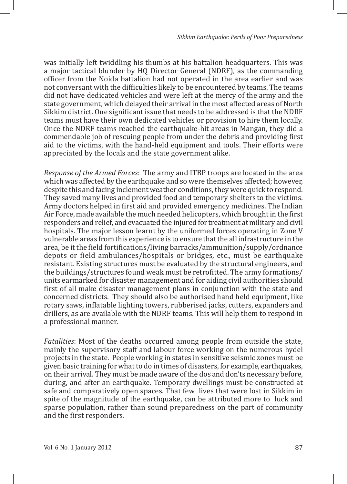was initially left twiddling his thumbs at his battalion headquarters. This was a major tactical blunder by HQ Director General (NDRF), as the commanding officer from the Noida battalion had not operated in the area earlier and was not conversant with the difficulties likely to be encountered by teams. The teams did not have dedicated vehicles and were left at the mercy of the army and the state government, which delayed their arrival in the most affected areas of North Sikkim district. One significant issue that needs to be addressed is that the NDRF teams must have their own dedicated vehicles or provision to hire them locally. Once the NDRF teams reached the earthquake-hit areas in Mangan, they did a commendable job of rescuing people from under the debris and providing first aid to the victims, with the hand-held equipment and tools. Their efforts were appreciated by the locals and the state government alike.

*Response of the Armed Forces*: The army and ITBP troops are located in the area which was affected by the earthquake and so were themselves affected; however, despite this and facing inclement weather conditions, they were quick to respond. They saved many lives and provided food and temporary shelters to the victims. Army doctors helped in first aid and provided emergency medicines. The Indian Air Force, made available the much needed helicopters, which brought in the first responders and relief, and evacuated the injured for treatment at military and civil hospitals. The major lesson learnt by the uniformed forces operating in Zone V vulnerable areas from this experience is to ensure that the all infrastructure in the area, be it the field fortifications/living barracks/ammunition/supply/ordnance depots or field ambulances/hospitals or bridges, etc., must be earthquake resistant. Existing structures must be evaluated by the structural engineers, and the buildings/structures found weak must be retrofitted. The army formations/ units earmarked for disaster management and for aiding civil authorities should first of all make disaster management plans in conjunction with the state and concerned districts. They should also be authorised hand held equipment, like rotary saws, inflatable lighting towers, rubberised jacks, cutters, expanders and drillers, as are available with the NDRF teams. This will help them to respond in a professional manner.

*Fatalities*: Most of the deaths occurred among people from outside the state, mainly the supervisory staff and labour force working on the numerous hydel projects in the state. People working in states in sensitive seismic zones must be given basic training for what to do in times of disasters, for example, earthquakes, on their arrival. They must be made aware of the dos and don'ts necessary before, during, and after an earthquake. Temporary dwellings must be constructed at safe and comparatively open spaces. That few lives that were lost in Sikkim in spite of the magnitude of the earthquake, can be attributed more to luck and sparse population, rather than sound preparedness on the part of community and the first responders.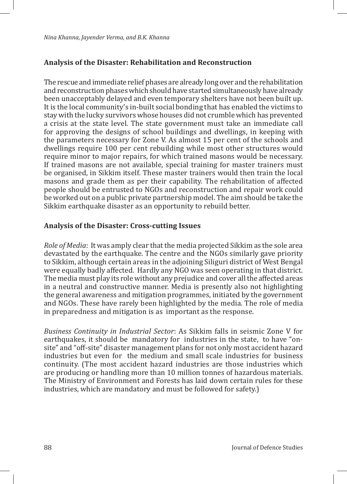## **Analysis of the Disaster: Rehabilitation and Reconstruction**

The rescue and immediate relief phases are already long over and the rehabilitation and reconstruction phases which should have started simultaneously have already been unacceptably delayed and even temporary shelters have not been built up. It is the local community's in-built social bonding that has enabled the victims to stay with the lucky survivors whose houses did not crumble which has prevented a crisis at the state level. The state government must take an immediate call for approving the designs of school buildings and dwellings, in keeping with the parameters necessary for Zone V. As almost 15 per cent of the schools and dwellings require 100 per cent rebuilding while most other structures would require minor to major repairs, for which trained masons would be necessary. If trained masons are not available, special training for master trainers must be organised, in Sikkim itself. These master trainers would then train the local masons and grade them as per their capability. The rehabilitation of affected people should be entrusted to NGOs and reconstruction and repair work could be worked out on a public private partnership model. The aim should be take the Sikkim earthquake disaster as an opportunity to rebuild better.

#### **Analysis of the Disaster: Cross-cutting Issues**

*Role of Media*: It was amply clear that the media projected Sikkim as the sole area devastated by the earthquake. The centre and the NGOs similarly gave priority to Sikkim, although certain areas in the adjoining Siliguri district of West Bengal were equally badly affected. Hardly any NGO was seen operating in that district. The media must play its role without any prejudice and cover all the affected areas in a neutral and constructive manner. Media is presently also not highlighting the general awareness and mitigation programmes, initiated by the government and NGOs. These have rarely been highlighted by the media. The role of media in preparedness and mitigation is as important as the response.

*Business Continuity in Industrial Sector*: As Sikkim falls in seismic Zone V for earthquakes, it should be mandatory for industries in the state, to have "onsite" and "off-site" disaster management plans for not only most accident hazard industries but even for the medium and small scale industries for business continuity. (The most accident hazard industries are those industries which are producing or handling more than 10 million tonnes of hazardous materials. The Ministry of Environment and Forests has laid down certain rules for these industries, which are mandatory and must be followed for safety.)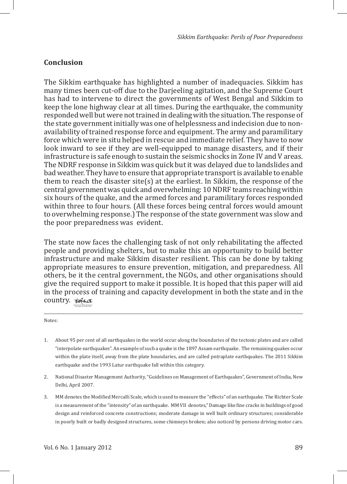#### **Conclusion**

The Sikkim earthquake has highlighted a number of inadequacies. Sikkim has many times been cut-off due to the Darjeeling agitation, and the Supreme Court has had to intervene to direct the governments of West Bengal and Sikkim to keep the lone highway clear at all times. During the earthquake, the community responded well but were not trained in dealing with the situation. The response of the state government initially was one of helplessness and indecision due to nonavailability of trained response force and equipment. The army and paramilitary force which were in situ helped in rescue and immediate relief. They have to now look inward to see if they are well-equipped to manage disasters, and if their infrastructure is safe enough to sustain the seismic shocks in Zone IV and V areas. The NDRF response in Sikkim was quick but it was delayed due to landslides and bad weather. They have to ensure that appropriate transport is available to enable them to reach the disaster site(s) at the earliest. In Sikkim, the response of the central government was quick and overwhelming: 10 NDRF teams reaching within six hours of the quake, and the armed forces and paramilitary forces responded within three to four hours. (All these forces being central forces would amount to overwhelming response.) The response of the state government was slow and the poor preparedness was evident.

The state now faces the challenging task of not only rehabilitating the affected people and providing shelters, but to make this an opportunity to build better infrastructure and make Sikkim disaster resilient. This can be done by taking appropriate measures to ensure prevention, mitigation, and preparedness. All others, be it the central government, the NGOs, and other organisations should give the required support to make it possible. It is hoped that this paper will aid in the process of training and capacity development in both the state and in the country. tolsa INSTITUTE FOR DEFENCE STUDIES & ANALYSES

#### Notes:

- 1. About 95 per cent of all earthquakes in the world occur along the boundaries of the tectonic plates and are called "interpolate earthquakes". An example of such a quake is the 1897 Assam earthquake. The remaining quakes occur within the plate itself, away from the plate boundaries, and are called pntraplate earthquakes. The 2011 Sikkim earthquake and the 1993 Latur earthquake fall within this category.
- 2. National Disaster Management Authority, "Guidelines on Management of Earthquakes", Government of India, New Delhi, April 2007.
- 3. MM denotes the Modified Mercalli Scale, which is used to measure the "effects" of an earthquake. The Richter Scale is a measurement of the "intensity" of an earthquake. MM VII denotes," Damage like fine cracks in buildings of good design and reinforced concrete constructions; moderate damage in well built ordinary structures; considerable in poorly built or badly designed structures, some chimneys broken; also noticed by persons driving motor cars.